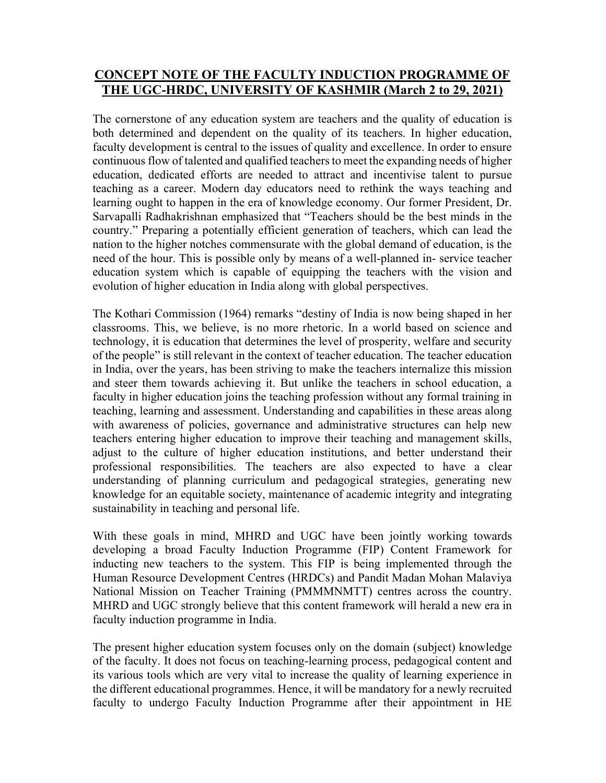## CONCEPT NOTE OF THE FACULTY INDUCTION PROGRAMME OF THE UGC-HRDC, UNIVERSITY OF KASHMIR (March 2 to 29, 2021)

The cornerstone of any education system are teachers and the quality of education is both determined and dependent on the quality of its teachers. In higher education, faculty development is central to the issues of quality and excellence. In order to ensure continuous flow of talented and qualified teachers to meet the expanding needs of higher education, dedicated efforts are needed to attract and incentivise talent to pursue teaching as a career. Modern day educators need to rethink the ways teaching and learning ought to happen in the era of knowledge economy. Our former President, Dr. Sarvapalli Radhakrishnan emphasized that "Teachers should be the best minds in the country." Preparing a potentially efficient generation of teachers, which can lead the nation to the higher notches commensurate with the global demand of education, is the need of the hour. This is possible only by means of a well-planned in- service teacher education system which is capable of equipping the teachers with the vision and evolution of higher education in India along with global perspectives.

The Kothari Commission (1964) remarks "destiny of India is now being shaped in her classrooms. This, we believe, is no more rhetoric. In a world based on science and technology, it is education that determines the level of prosperity, welfare and security of the people" is still relevant in the context of teacher education. The teacher education in India, over the years, has been striving to make the teachers internalize this mission and steer them towards achieving it. But unlike the teachers in school education, a faculty in higher education joins the teaching profession without any formal training in teaching, learning and assessment. Understanding and capabilities in these areas along with awareness of policies, governance and administrative structures can help new teachers entering higher education to improve their teaching and management skills, adjust to the culture of higher education institutions, and better understand their professional responsibilities. The teachers are also expected to have a clear understanding of planning curriculum and pedagogical strategies, generating new knowledge for an equitable society, maintenance of academic integrity and integrating sustainability in teaching and personal life.

With these goals in mind, MHRD and UGC have been jointly working towards developing a broad Faculty Induction Programme (FIP) Content Framework for inducting new teachers to the system. This FIP is being implemented through the Human Resource Development Centres (HRDCs) and Pandit Madan Mohan Malaviya National Mission on Teacher Training (PMMMNMTT) centres across the country. MHRD and UGC strongly believe that this content framework will herald a new era in faculty induction programme in India.

The present higher education system focuses only on the domain (subject) knowledge of the faculty. It does not focus on teaching-learning process, pedagogical content and its various tools which are very vital to increase the quality of learning experience in the different educational programmes. Hence, it will be mandatory for a newly recruited faculty to undergo Faculty Induction Programme after their appointment in HE